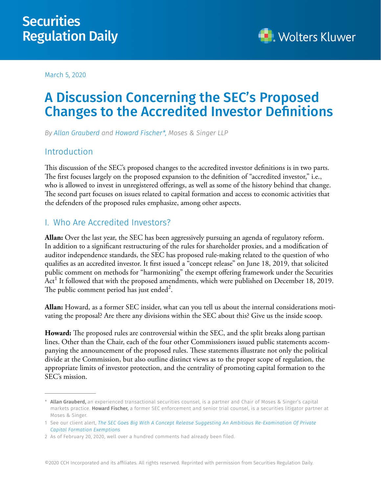## **Securities** Regulation Daily



March 5, 2020

# A Discussion Concerning the SEC's Proposed Changes to the Accredited Investor Definitions

*By [Allan Grauberd](https://www.mosessinger.com/attorneys/allan-grauberd) and [Howard Fischer](https://www.mosessinger.com/attorneys/howard-a-fischer)\*, Moses & Singer LLP*

### Introduction

This discussion of the SEC's proposed changes to the accredited investor definitions is in two parts. The first focuses largely on the proposed expansion to the definition of "accredited investor," i.e., who is allowed to invest in unregistered offerings, as well as some of the history behind that change. The second part focuses on issues related to capital formation and access to economic activities that the defenders of the proposed rules emphasize, among other aspects.

#### I. Who Are Accredited Investors?

**Allan:** Over the last year, the SEC has been aggressively pursuing an agenda of regulatory reform. In addition to a significant restructuring of the rules for shareholder proxies, and a modification of auditor independence standards, the SEC has proposed rule-making related to the question of who qualifies as an accredited investor. It first issued a "concept release" on June 18, 2019, that solicited public comment on methods for "harmonizing" the exempt offering framework under the Securities Act<sup>1</sup> It followed that with the proposed amendments, which were published on December 18, 2019. The public comment period has just ended<sup>2</sup>.

**Allan:** Howard, as a former SEC insider, what can you tell us about the internal considerations motivating the proposal? Are there any divisions within the SEC about this? Give us the inside scoop.

**Howard:** The proposed rules are controversial within the SEC, and the split breaks along partisan lines. Other than the Chair, each of the four other Commissioners issued public statements accompanying the announcement of the proposed rules. These statements illustrate not only the political divide at the Commission, but also outline distinct views as to the proper scope of regulation, the appropriate limits of investor protection, and the centrality of promoting capital formation to the SEC's mission.

©2020 CCH Incorporated and its affiliates. All rights reserved. Reprinted with permission from Securities Regulation Daily.

<sup>\*</sup> Allan Grauberd, an experienced transactional securities counsel, is a partner and Chair of Moses & Singer's capital markets practice. Howard Fischer, a former SEC enforcement and senior trial counsel, is a securities litigator partner at Moses & Singer.

<sup>1</sup> See our client alert, *[The SEC Goes Big With A Concept Release Suggesting An Ambitious Re-Examination Of Private](https://www.mosessinger.com/articles/the-sec-goes-big-with-a-concept-release-suggesting-an-ambitious-re-examination-of-private-capital-formation-exemptions)  [Capital Formation Exemptions](https://www.mosessinger.com/articles/the-sec-goes-big-with-a-concept-release-suggesting-an-ambitious-re-examination-of-private-capital-formation-exemptions)*

<sup>2</sup> As of February 20, 2020, well over a hundred comments had already been filed.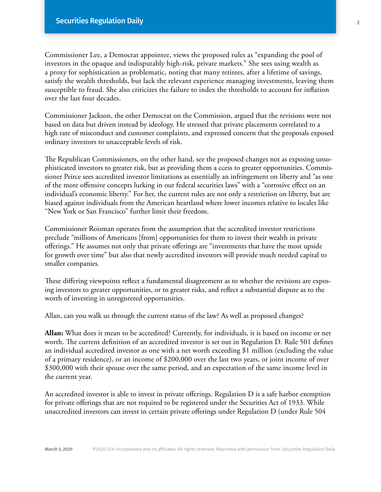Commissioner Lee, a Democrat appointee, views the proposed rules as "expanding the pool of investors in the opaque and indisputably high-risk, private markets." She sees using wealth as a proxy for sophistication as problematic, noting that many retirees, after a lifetime of savings, satisfy the wealth thresholds, but lack the relevant experience managing investments, leaving them susceptible to fraud. She also criticizes the failure to index the thresholds to account for inflation over the last four decades.

Commissioner Jackson, the other Democrat on the Commission, argued that the revisions were not based on data but driven instead by ideology. He stressed that private placements correlated to a high rate of misconduct and customer complaints, and expressed concern that the proposals exposed ordinary investors to unacceptable levels of risk.

The Republican Commissioners, on the other hand, see the proposed changes not as exposing unsophisticated investors to greater risk, but as providing them a ccess to greater opportunities. Commissioner Peirce sees accredited investor limitations as essentially an infringement on liberty and "as one of the more offensive concepts lurking in our federal securities laws" with a "corrosive effect on an individual's economic liberty." For her, the current rules are not only a restriction on liberty, but are biased against individuals from the American heartland where lower incomes relative to locales like "New York or San Francisco" further limit their freedom.

Commissioner Roisman operates from the assumption that the accredited investor restrictions preclude "millions of Americans [from] opportunities for them to invest their wealth in private offerings." He assumes not only that private offerings are "investments that have the most upside for growth over time" but also that newly accredited investors will provide much needed capital to smaller companies.

These differing viewpoints reflect a fundamental disagreement as to whether the revisions are exposing investors to greater opportunities, or to greater risks, and reflect a substantial dispute as to the worth of investing in unregistered opportunities.

Allan, can you walk us through the current status of the law? As well as proposed changes?

**Allan:** What does it mean to be accredited? Currently, for individuals, it is based on income or net worth. The current definition of an accredited investor is set out in Regulation D. Rule 501 defines an individual accredited investor as one with a net worth exceeding \$1 million (excluding the value of a primary residence), or an income of \$200,000 over the last two years, or joint income of over \$300,000 with their spouse over the same period, and an expectation of the same income level in the current year.

An accredited investor is able to invest in private offerings. Regulation D is a safe harbor exemption for private offerings that are not required to be registered under the Securities Act of 1933. While unaccredited investors can invest in certain private offerings under Regulation D (under Rule 504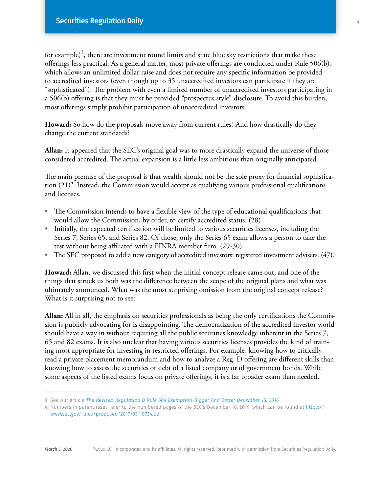for example) $^3$ , there are investment round limits and state blue sky restrictions that make these offerings less practical. As a general matter, most private offerings are conducted under Rule 506(b), which allows an unlimited dollar raise and does not require any specific information be provided to accredited investors (even though up to 35 unaccredited investors can participate if they are "sophisticated"). The problem with even a limited number of unaccredited investors participating in a 506(b) offering is that they must be provided "prospectus style" disclosure. To avoid this burden, most offerings simply prohibit participation of unaccredited investors.

**Howard:** So how do the proposals move away from current rules? And how drastically do they change the current standards?

**Allan:** It appeared that the SEC's original goal was to more drastically expand the universe of those considered accredited. The actual expansion is a little less ambitious than originally anticipated.

The main premise of the proposal is that wealth should not be the sole proxy for financial sophistication  $(21)^4$ . Instead, the Commission would accept as qualifying various professional qualifications and licenses.

- **•** The Commission intends to have a flexible view of the type of educational qualifications that would allow the Commission, by order, to certify accredited status. (28)
- **•** Initially, the expected certification will be limited to various securities licenses, including the Series 7, Series 65, and Series 82. Of those, only the Series 65 exam allows a person to take the test without being affiliated with a FINRA member firm. (29-30).
- The SEC proposed to add a new category of accredited investors: registered investment advisers. (47).

**Howard:** Allan, we discussed this first when the initial concept release came out, and one of the things that struck us both was the difference between the scope of the original plans and what was ultimately announced. What was the most surprising omission from the original concept release? What is it surprising not to see?

**Allan:** All in all, the emphasis on securities professionals as being the only certifications the Commission is publicly advocating for is disappointing. The democratization of the accredited investor world should have a way in without requiring all the public securities knowledge inherent in the Series 7, 65 and 82 exams. It is also unclear that having various securities licenses provides the kind of training most appropriate for investing in restricted offerings. For example, knowing how to critically read a private placement memorandum and how to analyze a Reg. D offering are different skills than knowing how to assess the securities or debt of a listed company or of government bonds. While some aspects of the listed exams focus on private offerings, it is a far broader exam than needed.

<sup>3</sup> See our article *[The Revised Regulation D Rule 504 Exemption-Bigger And Better December 15, 2016](https://www.mosessinger.com/articles/the-revised-regulation-d-rule-exemption-bigger-better)*

<sup>4</sup> Numbers in parentheses refer to the numbered pages of the SEC's December 18, 2019, which can be found at [https://](https://www.sec.gov/rules/proposed/2019/33-10734.pdf) [www.sec.gov/rules/proposed/2019/33-10734.pdf](https://www.sec.gov/rules/proposed/2019/33-10734.pdf)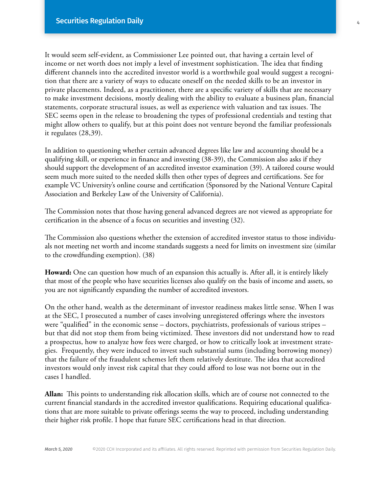It would seem self-evident, as Commissioner Lee pointed out, that having a certain level of income or net worth does not imply a level of investment sophistication. The idea that finding different channels into the accredited investor world is a worthwhile goal would suggest a recognition that there are a variety of ways to educate oneself on the needed skills to be an investor in private placements. Indeed, as a practitioner, there are a specific variety of skills that are necessary to make investment decisions, mostly dealing with the ability to evaluate a business plan, financial statements, corporate structural issues, as well as experience with valuation and tax issues. The SEC seems open in the release to broadening the types of professional credentials and testing that might allow others to qualify, but at this point does not venture beyond the familiar professionals it regulates (28,39).

In addition to questioning whether certain advanced degrees like law and accounting should be a qualifying skill, or experience in finance and investing (38-39), the Commission also asks if they should support the development of an accredited investor examination (39). A tailored course would seem much more suited to the needed skills then other types of degrees and certifications. See for example VC University's online course and certification (Sponsored by the National Venture Capital Association and Berkeley Law of the University of California).

The Commission notes that those having general advanced degrees are not viewed as appropriate for certification in the absence of a focus on securities and investing (32).

The Commission also questions whether the extension of accredited investor status to those individuals not meeting net worth and income standards suggests a need for limits on investment size (similar to the crowdfunding exemption). (38)

**Howard:** One can question how much of an expansion this actually is. After all, it is entirely likely that most of the people who have securities licenses also qualify on the basis of income and assets, so you are not significantly expanding the number of accredited investors.

On the other hand, wealth as the determinant of investor readiness makes little sense. When I was at the SEC, I prosecuted a number of cases involving unregistered offerings where the investors were "qualified" in the economic sense – doctors, psychiatrists, professionals of various stripes – but that did not stop them from being victimized. These investors did not understand how to read a prospectus, how to analyze how fees were charged, or how to critically look at investment strategies. Frequently, they were induced to invest such substantial sums (including borrowing money) that the failure of the fraudulent schemes left them relatively destitute. The idea that accredited investors would only invest risk capital that they could afford to lose was not borne out in the cases I handled.

**Allan:** This points to understanding risk allocation skills, which are of course not connected to the current financial standards in the accredited investor qualifications. Requiring educational qualifications that are more suitable to private offerings seems the way to proceed, including understanding their higher risk profile. I hope that future SEC certifications head in that direction.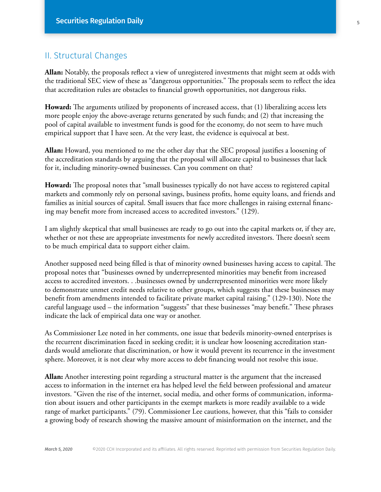#### II. Structural Changes

**Allan:** Notably, the proposals reflect a view of unregistered investments that might seem at odds with the traditional SEC view of these as "dangerous opportunities." The proposals seem to reflect the idea that accreditation rules are obstacles to financial growth opportunities, not dangerous risks.

**Howard:** The arguments utilized by proponents of increased access, that (1) liberalizing access lets more people enjoy the above-average returns generated by such funds; and (2) that increasing the pool of capital available to investment funds is good for the economy, do not seem to have much empirical support that I have seen. At the very least, the evidence is equivocal at best.

**Allan:** Howard, you mentioned to me the other day that the SEC proposal justifies a loosening of the accreditation standards by arguing that the proposal will allocate capital to businesses that lack for it, including minority-owned businesses. Can you comment on that?

**Howard:** The proposal notes that "small businesses typically do not have access to registered capital markets and commonly rely on personal savings, business profits, home equity loans, and friends and families as initial sources of capital. Small issuers that face more challenges in raising external financing may benefit more from increased access to accredited investors." (129).

I am slightly skeptical that small businesses are ready to go out into the capital markets or, if they are, whether or not these are appropriate investments for newly accredited investors. There doesn't seem to be much empirical data to support either claim.

Another supposed need being filled is that of minority owned businesses having access to capital. The proposal notes that "businesses owned by underrepresented minorities may benefit from increased access to accredited investors. . .businesses owned by underrepresented minorities were more likely to demonstrate unmet credit needs relative to other groups, which suggests that these businesses may benefit from amendments intended to facilitate private market capital raising." (129-130). Note the careful language used – the information "suggests" that these businesses "may benefit." These phrases indicate the lack of empirical data one way or another.

As Commissioner Lee noted in her comments, one issue that bedevils minority-owned enterprises is the recurrent discrimination faced in seeking credit; it is unclear how loosening accreditation standards would ameliorate that discrimination, or how it would prevent its recurrence in the investment sphere. Moreover, it is not clear why more access to debt financing would not resolve this issue.

**Allan:** Another interesting point regarding a structural matter is the argument that the increased access to information in the internet era has helped level the field between professional and amateur investors. "Given the rise of the internet, social media, and other forms of communication, information about issuers and other participants in the exempt markets is more readily available to a wide range of market participants." (79). Commissioner Lee cautions, however, that this "fails to consider a growing body of research showing the massive amount of misinformation on the internet, and the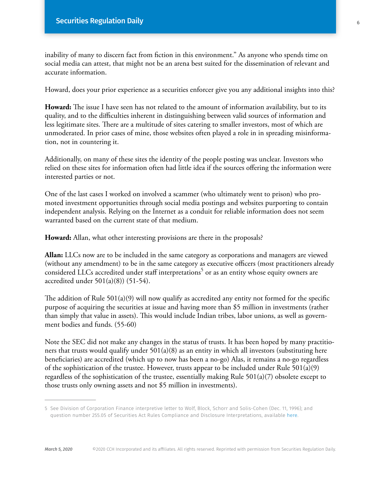inability of many to discern fact from fiction in this environment." As anyone who spends time on social media can attest, that might not be an arena best suited for the dissemination of relevant and accurate information.

Howard, does your prior experience as a securities enforcer give you any additional insights into this?

**Howard:** The issue I have seen has not related to the amount of information availability, but to its quality, and to the difficulties inherent in distinguishing between valid sources of information and less legitimate sites. There are a multitude of sites catering to smaller investors, most of which are unmoderated. In prior cases of mine, those websites often played a role in in spreading misinformation, not in countering it.

Additionally, on many of these sites the identity of the people posting was unclear. Investors who relied on these sites for information often had little idea if the sources offering the information were interested parties or not.

One of the last cases I worked on involved a scammer (who ultimately went to prison) who promoted investment opportunities through social media postings and websites purporting to contain independent analysis. Relying on the Internet as a conduit for reliable information does not seem warranted based on the current state of that medium.

**Howard:** Allan, what other interesting provisions are there in the proposals?

**Allan:** LLCs now are to be included in the same category as corporations and managers are viewed (without any amendment) to be in the same category as executive officers (most practitioners already considered LLCs accredited under staff interpretations $^5$  or as an entity whose equity owners are accredited under  $501(a)(8)$  (51-54).

The addition of Rule  $501(a)(9)$  will now qualify as accredited any entity not formed for the specific purpose of acquiring the securities at issue and having more than \$5 million in investments (rather than simply that value in assets). This would include Indian tribes, labor unions, as well as government bodies and funds. (55-60)

Note the SEC did not make any changes in the status of trusts. It has been hoped by many practitioners that trusts would qualify under  $501(a)(8)$  as an entity in which all investors (substituting here beneficiaries) are accredited (which up to now has been a no-go) Alas, it remains a no-go regardless of the sophistication of the trustee. However, trusts appear to be included under Rule  $501(a)(9)$ regardless of the sophistication of the trustee, essentially making Rule 501(a)(7) obsolete except to those trusts only owning assets and not \$5 million in investments).

<sup>5</sup> See Division of Corporation Finance interpretive letter to Wolf, Block, Schorr and Solis-Cohen (Dec. 11, 1996); and question number 255.05 of Securities Act Rules Compliance and Disclosure Interpretations, available [here](https://www.sec.gov/divisions/corpfin/guidance/securitiesactrules-interps.htm).